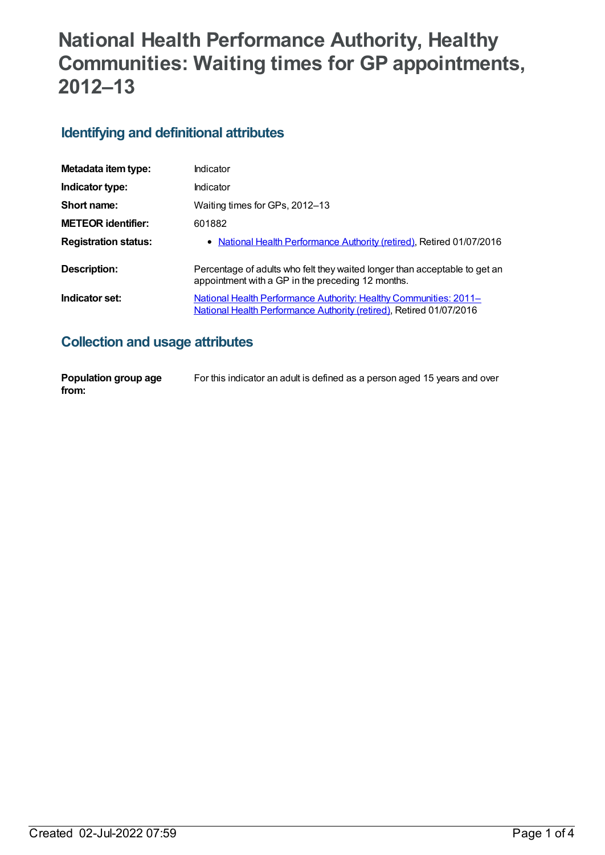# **National Health Performance Authority, Healthy Communities: Waiting times for GP appointments, 2012–13**

### **Identifying and definitional attributes**

| Metadata item type:         | Indicator                                                                                                                                       |
|-----------------------------|-------------------------------------------------------------------------------------------------------------------------------------------------|
| Indicator type:             | Indicator                                                                                                                                       |
| Short name:                 | Waiting times for GPs, 2012-13                                                                                                                  |
| <b>METEOR identifier:</b>   | 601882                                                                                                                                          |
| <b>Registration status:</b> | • National Health Performance Authority (retired), Retired 01/07/2016                                                                           |
| Description:                | Percentage of adults who felt they waited longer than acceptable to get an<br>appointment with a GP in the preceding 12 months.                 |
| Indicator set:              | <u>National Health Performance Authority: Healthy Communities: 2011–</u><br>National Health Performance Authority (retired), Retired 01/07/2016 |

### **Collection and usage attributes**

| Population group age | For this indicator an adult is defined as a person aged 15 years and over |
|----------------------|---------------------------------------------------------------------------|
| from:                |                                                                           |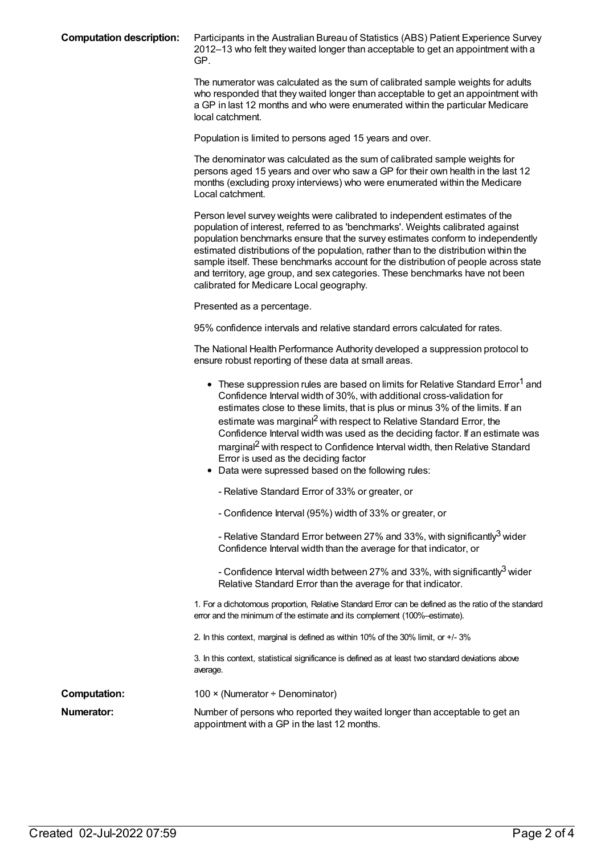| <b>Computation description:</b> |  |
|---------------------------------|--|
|---------------------------------|--|

Participants in the Australian Bureau of Statistics (ABS) Patient Experience Survey 2012–13 who felt they waited longer than acceptable to get an appointment with a GP.

The numerator was calculated as the sum of calibrated sample weights for adults who responded that they waited longer than acceptable to get an appointment with a GP in last 12 months and who were enumerated within the particular Medicare local catchment.

Population is limited to persons aged 15 years and over.

The denominator was calculated as the sum of calibrated sample weights for persons aged 15 years and over who saw a GP for their own health in the last 12 months (excluding proxy interviews) who were enumerated within the Medicare Local catchment.

Person level survey weights were calibrated to independent estimates of the population of interest, referred to as 'benchmarks'. Weights calibrated against population benchmarks ensure that the survey estimates conform to independently estimated distributions of the population, rather than to the distribution within the sample itself. These benchmarks account for the distribution of people across state and territory, age group, and sex categories. These benchmarks have not been calibrated for Medicare Local geography.

Presented as a percentage.

95% confidence intervals and relative standard errors calculated for rates.

The National Health Performance Authority developed a suppression protocol to ensure robust reporting of these data at small areas.

|                     | • These suppression rules are based on limits for Relative Standard Error <sup>1</sup> and<br>Confidence Interval width of 30%, with additional cross-validation for<br>estimates close to these limits, that is plus or minus 3% of the limits. If an<br>estimate was marginal <sup>2</sup> with respect to Relative Standard Error, the<br>Confidence Interval width was used as the deciding factor. If an estimate was<br>marginal <sup>2</sup> with respect to Confidence Interval width, then Relative Standard<br>Error is used as the deciding factor<br>Data were supressed based on the following rules: |
|---------------------|--------------------------------------------------------------------------------------------------------------------------------------------------------------------------------------------------------------------------------------------------------------------------------------------------------------------------------------------------------------------------------------------------------------------------------------------------------------------------------------------------------------------------------------------------------------------------------------------------------------------|
|                     | - Relative Standard Error of 33% or greater, or                                                                                                                                                                                                                                                                                                                                                                                                                                                                                                                                                                    |
|                     | - Confidence Interval (95%) width of 33% or greater, or                                                                                                                                                                                                                                                                                                                                                                                                                                                                                                                                                            |
|                     | - Relative Standard Error between 27% and 33%, with significantly <sup>3</sup> wider<br>Confidence Interval width than the average for that indicator, or                                                                                                                                                                                                                                                                                                                                                                                                                                                          |
|                     | - Confidence Interval width between 27% and 33%, with significantly <sup>3</sup> wider<br>Relative Standard Error than the average for that indicator.                                                                                                                                                                                                                                                                                                                                                                                                                                                             |
|                     | 1. For a dichotomous proportion, Relative Standard Error can be defined as the ratio of the standard<br>error and the minimum of the estimate and its complement (100%-estimate).                                                                                                                                                                                                                                                                                                                                                                                                                                  |
|                     | 2. In this context, marginal is defined as within 10% of the 30% limit, or +/-3%                                                                                                                                                                                                                                                                                                                                                                                                                                                                                                                                   |
|                     | 3. In this context, statistical significance is defined as at least two standard deviations above<br>average.                                                                                                                                                                                                                                                                                                                                                                                                                                                                                                      |
| <b>Computation:</b> | 100 $\times$ (Numerator ÷ Denominator)                                                                                                                                                                                                                                                                                                                                                                                                                                                                                                                                                                             |
| Numerator:          | Number of persons who reported they waited longer than acceptable to get an<br>appointment with a GP in the last 12 months.                                                                                                                                                                                                                                                                                                                                                                                                                                                                                        |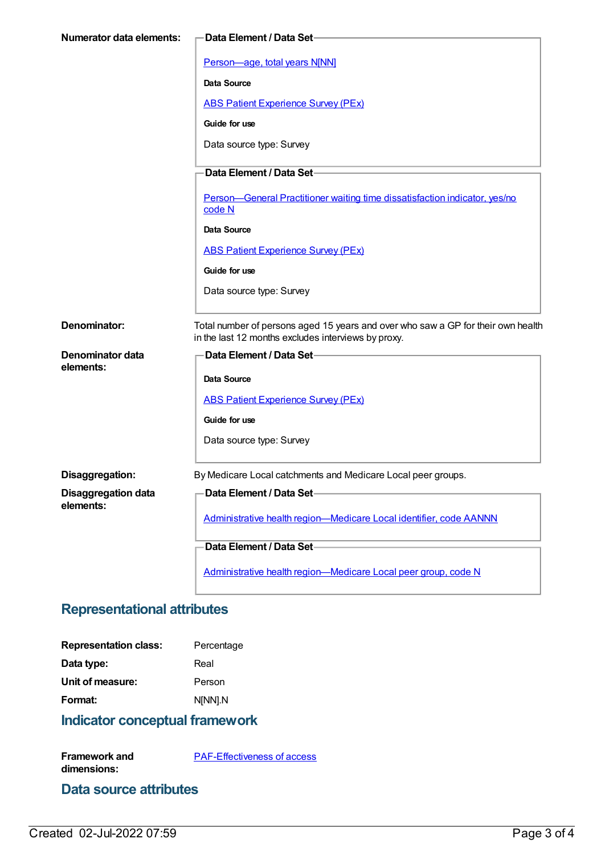| <b>Numerator data elements:</b>         | Data Element / Data Set-                                                                                                                |
|-----------------------------------------|-----------------------------------------------------------------------------------------------------------------------------------------|
|                                         | Person-age, total years N[NN]                                                                                                           |
|                                         | <b>Data Source</b>                                                                                                                      |
|                                         | <b>ABS Patient Experience Survey (PEx)</b>                                                                                              |
|                                         | Guide for use                                                                                                                           |
|                                         | Data source type: Survey                                                                                                                |
|                                         | Data Element / Data Set-                                                                                                                |
|                                         | Person-General Practitioner waiting time dissatisfaction indicator, yes/no<br>code N                                                    |
|                                         | Data Source                                                                                                                             |
|                                         | <b>ABS Patient Experience Survey (PEx)</b>                                                                                              |
|                                         | Guide for use                                                                                                                           |
|                                         | Data source type: Survey                                                                                                                |
|                                         |                                                                                                                                         |
| Denominator:                            | Total number of persons aged 15 years and over who saw a GP for their own health<br>in the last 12 months excludes interviews by proxy. |
| Denominator data                        | Data Element / Data Set-                                                                                                                |
| elements:                               | Data Source                                                                                                                             |
|                                         | <b>ABS Patient Experience Survey (PEx)</b>                                                                                              |
|                                         | Guide for use                                                                                                                           |
|                                         | Data source type: Survey                                                                                                                |
|                                         |                                                                                                                                         |
| Disaggregation:                         | By Medicare Local catchments and Medicare Local peer groups.                                                                            |
| <b>Disaggregation data</b><br>elements: | Data Element / Data Set-                                                                                                                |
|                                         | Administrative health region-Medicare Local identifier, code AANNN                                                                      |
|                                         | Data Element / Data Set-                                                                                                                |
|                                         | Administrative health region-Medicare Local peer group, code N                                                                          |

## **Representational attributes**

| <b>Representation class:</b> | Percentage |
|------------------------------|------------|
| Data type:                   | Real       |
| Unit of measure:             | Person     |
| Format:                      | N[NN].N    |

# **Indicator conceptual framework**

| <b>Framework and</b> | <b>PAF-Effectiveness of access</b> |
|----------------------|------------------------------------|
| dimensions:          |                                    |

#### **Data source attributes**